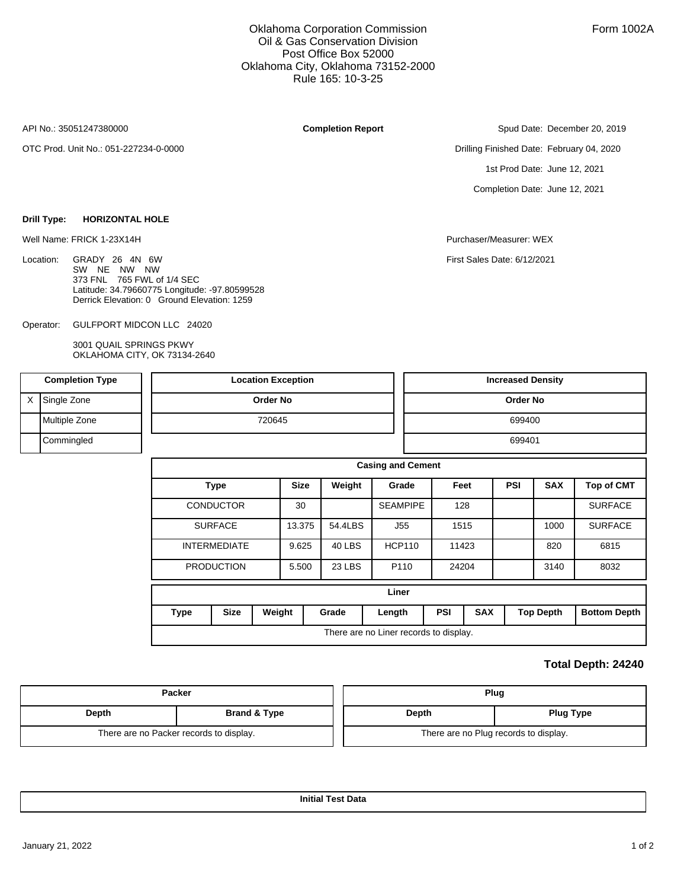### Oklahoma Corporation Commission Oil & Gas Conservation Division Post Office Box 52000 Oklahoma City, Oklahoma 73152-2000 Rule 165: 10-3-25

API No.: 35051247380000

Location:

OTC Prod. Unit No.: 051-227234-0-0000

**Drill Type: HORIZONTAL HOLE**

**Completion Report**

Spud Date: December 20, 2019

Drilling Finished Date: February 04, 2020 1st Prod Date: June 12, 2021 Completion Date: June 12, 2021

Well Name: FRICK 1-23X14H Purchaser/Measurer: WEX

First Sales Date: 6/12/2021

GULFPORT MIDCON LLC 24020 Operator:

GRADY 26 4N 6W SW NE NW NW 373 FNL 765 FWL of 1/4 SEC

3001 QUAIL SPRINGS PKWY OKLAHOMA CITY, OK 73134-2640

Latitude: 34.79660775 Longitude: -97.80599528 Derrick Elevation: 0 Ground Elevation: 1259

|   | <b>Completion Type</b> |             | <b>Location Exception</b> |                 |             |         |                          |                 |                                        |            | <b>Increased Density</b> |                  |                     |  |  |  |
|---|------------------------|-------------|---------------------------|-----------------|-------------|---------|--------------------------|-----------------|----------------------------------------|------------|--------------------------|------------------|---------------------|--|--|--|
| X | Single Zone            |             |                           | <b>Order No</b> |             |         |                          |                 |                                        |            | Order No                 |                  |                     |  |  |  |
|   | Multiple Zone          |             |                           | 720645          |             |         |                          |                 |                                        |            | 699400                   |                  |                     |  |  |  |
|   | Commingled             |             |                           |                 |             |         |                          |                 |                                        |            | 699401                   |                  |                     |  |  |  |
|   |                        |             |                           |                 |             |         | <b>Casing and Cement</b> |                 |                                        |            |                          |                  |                     |  |  |  |
|   |                        |             | <b>Type</b>               |                 | <b>Size</b> | Weight  |                          | Grade           |                                        | Feet       | <b>PSI</b>               | <b>SAX</b>       | <b>Top of CMT</b>   |  |  |  |
|   |                        |             | <b>CONDUCTOR</b>          |                 | 30          |         |                          | <b>SEAMPIPE</b> | 128                                    |            |                          |                  | <b>SURFACE</b>      |  |  |  |
|   |                        |             | <b>SURFACE</b>            |                 | 13.375      | 54.4LBS |                          | J55             |                                        | 1515       |                          | 1000             | <b>SURFACE</b>      |  |  |  |
|   |                        |             | <b>INTERMEDIATE</b>       |                 | 9.625       | 40 LBS  |                          | <b>HCP110</b>   | 11423                                  |            |                          | 820              | 6815                |  |  |  |
|   |                        |             | <b>PRODUCTION</b>         |                 | 5.500       | 23 LBS  |                          | P110            | 24204                                  |            |                          | 3140             | 8032                |  |  |  |
|   |                        |             |                           |                 |             |         |                          | Liner           |                                        |            |                          |                  |                     |  |  |  |
|   |                        | <b>Type</b> | <b>Size</b>               | Weight          |             | Grade   | Length                   |                 | <b>PSI</b>                             | <b>SAX</b> |                          | <b>Top Depth</b> | <b>Bottom Depth</b> |  |  |  |
|   |                        |             |                           |                 |             |         |                          |                 | There are no Liner records to display. |            |                          |                  |                     |  |  |  |

### **Total Depth: 24240**

| Packer |                                         | Plug  |                                       |  |  |  |
|--------|-----------------------------------------|-------|---------------------------------------|--|--|--|
| Depth  | <b>Brand &amp; Type</b>                 | Depth | <b>Plug Type</b>                      |  |  |  |
|        | There are no Packer records to display. |       | There are no Plug records to display. |  |  |  |

**Initial Test Data**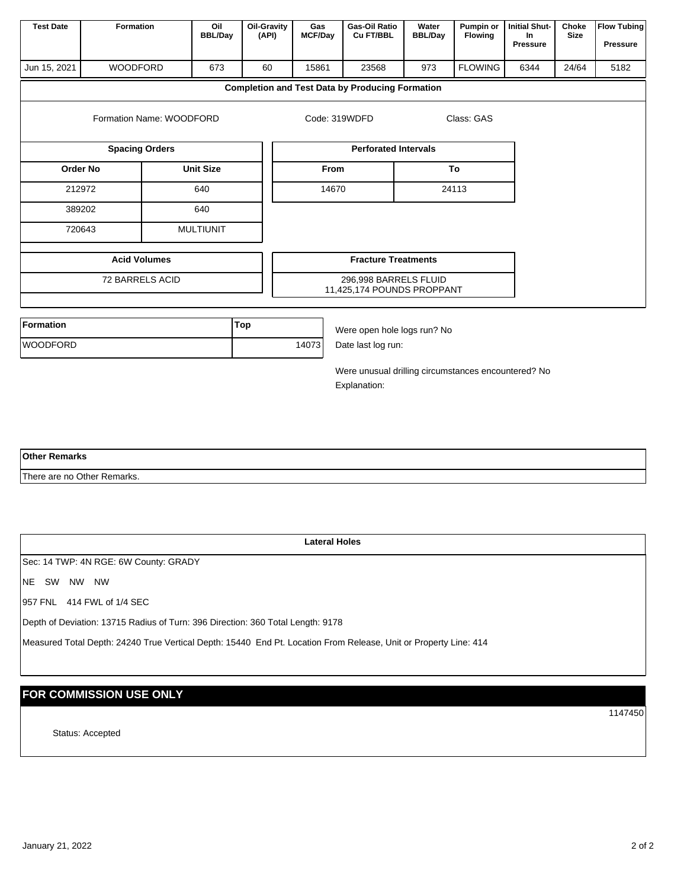| <b>Test Date</b>     | Formation                             | Oil<br><b>BBL/Day</b> | Oil-Gravity<br>(API) | Gas<br><b>MCF/Day</b> | Gas-Oil Ratio<br>Cu FT/BBL                             | Water<br><b>BBL/Day</b> | Pumpin or<br><b>Flowing</b> | <b>Initial Shut-</b><br>In.<br>Pressure | Choke<br><b>Size</b> | <b>Flow Tubing</b><br><b>Pressure</b> |
|----------------------|---------------------------------------|-----------------------|----------------------|-----------------------|--------------------------------------------------------|-------------------------|-----------------------------|-----------------------------------------|----------------------|---------------------------------------|
| Jun 15, 2021         | <b>WOODFORD</b>                       | 673                   | 60                   | 15861                 | 23568                                                  | 973                     | <b>FLOWING</b>              | 6344                                    | 24/64                | 5182                                  |
|                      |                                       |                       |                      |                       | <b>Completion and Test Data by Producing Formation</b> |                         |                             |                                         |                      |                                       |
|                      | Formation Name: WOODFORD              |                       |                      | Code: 319WDFD         |                                                        |                         | Class: GAS                  |                                         |                      |                                       |
|                      | <b>Spacing Orders</b>                 |                       |                      |                       | <b>Perforated Intervals</b>                            |                         |                             |                                         |                      |                                       |
|                      | <b>Order No</b>                       | <b>Unit Size</b>      |                      | <b>From</b>           |                                                        |                         | To                          |                                         |                      |                                       |
|                      | 212972                                | 640                   |                      | 14670                 |                                                        |                         | 24113                       |                                         |                      |                                       |
|                      | 389202                                | 640                   |                      |                       |                                                        |                         |                             |                                         |                      |                                       |
|                      | 720643                                | <b>MULTIUNIT</b>      |                      |                       |                                                        |                         |                             |                                         |                      |                                       |
| <b>Acid Volumes</b>  |                                       |                       |                      |                       | <b>Fracture Treatments</b>                             |                         |                             |                                         |                      |                                       |
|                      | 72 BARRELS ACID                       |                       |                      |                       | 296,998 BARRELS FLUID                                  |                         |                             |                                         |                      |                                       |
|                      |                                       |                       |                      |                       | 11,425,174 POUNDS PROPPANT                             |                         |                             |                                         |                      |                                       |
| Formation            |                                       |                       | Top                  |                       | Were open hole logs run? No                            |                         |                             |                                         |                      |                                       |
| <b>WOODFORD</b>      |                                       |                       |                      | 14073                 | Date last log run:                                     |                         |                             |                                         |                      |                                       |
|                      |                                       |                       |                      |                       | Were unusual drilling circumstances encountered? No    |                         |                             |                                         |                      |                                       |
|                      |                                       |                       |                      |                       | Explanation:                                           |                         |                             |                                         |                      |                                       |
|                      |                                       |                       |                      |                       |                                                        |                         |                             |                                         |                      |                                       |
|                      |                                       |                       |                      |                       |                                                        |                         |                             |                                         |                      |                                       |
| <b>Other Remarks</b> |                                       |                       |                      |                       |                                                        |                         |                             |                                         |                      |                                       |
|                      | There are no Other Remarks.           |                       |                      |                       |                                                        |                         |                             |                                         |                      |                                       |
|                      |                                       |                       |                      |                       |                                                        |                         |                             |                                         |                      |                                       |
|                      |                                       |                       |                      |                       |                                                        |                         |                             |                                         |                      |                                       |
|                      |                                       |                       |                      | <b>Lateral Holes</b>  |                                                        |                         |                             |                                         |                      |                                       |
|                      | Sec: 14 TWP: 4N RGE: 6W County: GRADY |                       |                      |                       |                                                        |                         |                             |                                         |                      |                                       |
| NE SW NW NW          |                                       |                       |                      |                       |                                                        |                         |                             |                                         |                      |                                       |

957 FNL 414 FWL of 1/4 SEC

Depth of Deviation: 13715 Radius of Turn: 396 Direction: 360 Total Length: 9178

Measured Total Depth: 24240 True Vertical Depth: 15440 End Pt. Location From Release, Unit or Property Line: 414

# **FOR COMMISSION USE ONLY**

Status: Accepted

1147450